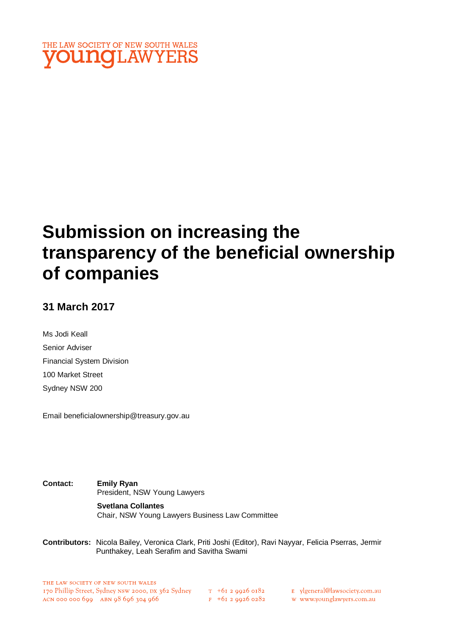

# **Submission on increasing the transparency of the beneficial ownership of companies**

### **31 March 2017**

Ms Jodi Keall Senior Adviser Financial System Division 100 Market Street Sydney NSW 200

Email beneficialownership@treasury.gov.au

**Contact: Emily Ryan** President, NSW Young Lawyers

> **Svetlana Collantes** Chair, NSW Young Lawyers Business Law Committee

**Contributors:** Nicola Bailey, Veronica Clark, Priti Joshi (Editor), Ravi Nayyar, Felicia Pserras, Jermir Punthakey, Leah Serafim and Savitha Swami

 $F + 6I$  2 9926 0282

E ylgeneral@lawsociety.com.au

w www.younglawyers.com.au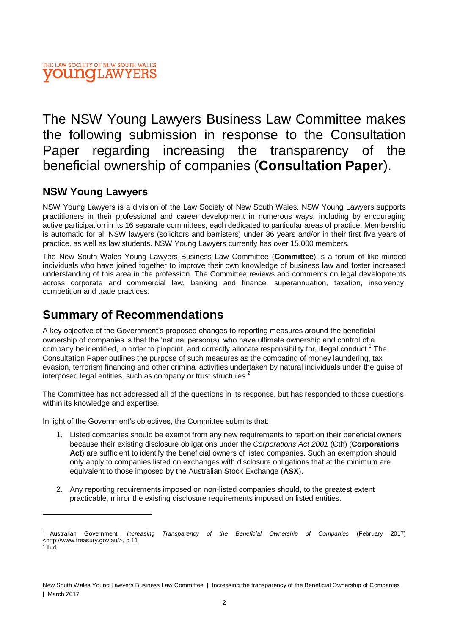The NSW Young Lawyers Business Law Committee makes the following submission in response to the Consultation Paper regarding increasing the transparency of the beneficial ownership of companies (**Consultation Paper**).

### **NSW Young Lawyers**

NSW Young Lawyers is a division of the Law Society of New South Wales. NSW Young Lawyers supports practitioners in their professional and career development in numerous ways, including by encouraging active participation in its 16 separate committees, each dedicated to particular areas of practice. Membership is automatic for all NSW lawyers (solicitors and barristers) under 36 years and/or in their first five years of practice, as well as law students. NSW Young Lawyers currently has over 15,000 members.

The New South Wales Young Lawyers Business Law Committee (**Committee**) is a forum of like-minded individuals who have joined together to improve their own knowledge of business law and foster increased understanding of this area in the profession. The Committee reviews and comments on legal developments across corporate and commercial law, banking and finance, superannuation, taxation, insolvency, competition and trade practices.

# **Summary of Recommendations**

A key objective of the Government's proposed changes to reporting measures around the beneficial ownership of companies is that the 'natural person(s)' who have ultimate ownership and control of a company be identified, in order to pinpoint, and correctly allocate responsibility for, illegal conduct.<sup>1</sup> The Consultation Paper outlines the purpose of such measures as the combating of money laundering, tax evasion, terrorism financing and other criminal activities undertaken by natural individuals under the guise of interposed legal entities, such as company or trust structures.<sup>2</sup>

The Committee has not addressed all of the questions in its response, but has responded to those questions within its knowledge and expertise.

In light of the Government's objectives, the Committee submits that:

- 1. Listed companies should be exempt from any new requirements to report on their beneficial owners because their existing disclosure obligations under the *Corporations Act 2001* (Cth) (**Corporations Act**) are sufficient to identify the beneficial owners of listed companies. Such an exemption should only apply to companies listed on exchanges with disclosure obligations that at the minimum are equivalent to those imposed by the Australian Stock Exchange (**ASX**).
- 2. Any reporting requirements imposed on non-listed companies should, to the greatest extent practicable, mirror the existing disclosure requirements imposed on listed entities.

<sup>1</sup> Australian Government, *Increasing Transparency of the Beneficial Ownership of Companies* (February 2017) <http://www.treasury.gov.au/>. p 11 2

Ibid.

New South Wales Young Lawyers Business Law Committee | Increasing the transparency of the Beneficial Ownership of Companies | March 2017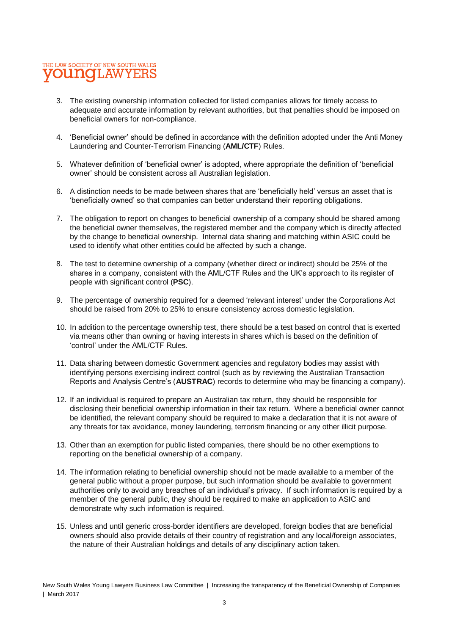- 3. The existing ownership information collected for listed companies allows for timely access to adequate and accurate information by relevant authorities, but that penalties should be imposed on beneficial owners for non-compliance.
- 4. 'Beneficial owner' should be defined in accordance with the definition adopted under the Anti Money Laundering and Counter-Terrorism Financing (**AML/CTF**) Rules.
- 5. Whatever definition of 'beneficial owner' is adopted, where appropriate the definition of 'beneficial owner' should be consistent across all Australian legislation.
- 6. A distinction needs to be made between shares that are 'beneficially held' versus an asset that is 'beneficially owned' so that companies can better understand their reporting obligations.
- 7. The obligation to report on changes to beneficial ownership of a company should be shared among the beneficial owner themselves, the registered member and the company which is directly affected by the change to beneficial ownership. Internal data sharing and matching within ASIC could be used to identify what other entities could be affected by such a change.
- 8. The test to determine ownership of a company (whether direct or indirect) should be 25% of the shares in a company, consistent with the AML/CTF Rules and the UK's approach to its register of people with significant control (**PSC**).
- 9. The percentage of ownership required for a deemed 'relevant interest' under the Corporations Act should be raised from 20% to 25% to ensure consistency across domestic legislation.
- 10. In addition to the percentage ownership test, there should be a test based on control that is exerted via means other than owning or having interests in shares which is based on the definition of 'control' under the AML/CTF Rules.
- 11. Data sharing between domestic Government agencies and regulatory bodies may assist with identifying persons exercising indirect control (such as by reviewing the Australian Transaction Reports and Analysis Centre's (**AUSTRAC**) records to determine who may be financing a company).
- 12. If an individual is required to prepare an Australian tax return, they should be responsible for disclosing their beneficial ownership information in their tax return. Where a beneficial owner cannot be identified, the relevant company should be required to make a declaration that it is not aware of any threats for tax avoidance, money laundering, terrorism financing or any other illicit purpose.
- 13. Other than an exemption for public listed companies, there should be no other exemptions to reporting on the beneficial ownership of a company.
- 14. The information relating to beneficial ownership should not be made available to a member of the general public without a proper purpose, but such information should be available to government authorities only to avoid any breaches of an individual's privacy. If such information is required by a member of the general public, they should be required to make an application to ASIC and demonstrate why such information is required.
- 15. Unless and until generic cross-border identifiers are developed, foreign bodies that are beneficial owners should also provide details of their country of registration and any local/foreign associates, the nature of their Australian holdings and details of any disciplinary action taken.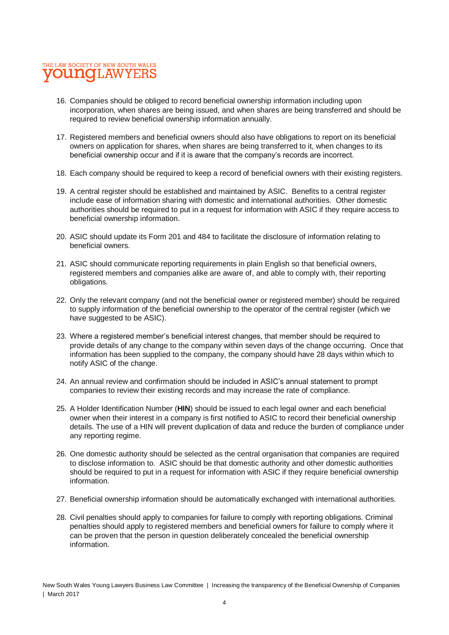- 16. Companies should be obliged to record beneficial ownership information including upon incorporation, when shares are being issued, and when shares are being transferred and should be required to review beneficial ownership information annually.
- 17. Registered members and beneficial owners should also have obligations to report on its beneficial owners on application for shares, when shares are being transferred to it, when changes to its beneficial ownership occur and if it is aware that the company's records are incorrect.
- 18. Each company should be required to keep a record of beneficial owners with their existing registers.
- 19. A central register should be established and maintained by ASIC. Benefits to a central register include ease of information sharing with domestic and international authorities. Other domestic authorities should be required to put in a request for information with ASIC if they require access to beneficial ownership information.
- 20. ASIC should update its Form 201 and 484 to facilitate the disclosure of information relating to beneficial owners.
- 21. ASIC should communicate reporting requirements in plain English so that beneficial owners, registered members and companies alike are aware of, and able to comply with, their reporting obligations.
- 22. Only the relevant company (and not the beneficial owner or registered member) should be required to supply information of the beneficial ownership to the operator of the central register (which we have suggested to be ASIC).
- 23. Where a registered member's beneficial interest changes, that member should be required to provide details of any change to the company within seven days of the change occurring. Once that information has been supplied to the company, the company should have 28 days within which to notify ASIC of the change.
- 24. An annual review and confirmation should be included in ASIC's annual statement to prompt companies to review their existing records and may increase the rate of compliance.
- 25. A Holder Identification Number (**HIN**) should be issued to each legal owner and each beneficial owner when their interest in a company is first notified to ASIC to record their beneficial ownership details. The use of a HIN will prevent duplication of data and reduce the burden of compliance under any reporting regime.
- 26. One domestic authority should be selected as the central organisation that companies are required to disclose information to. ASIC should be that domestic authority and other domestic authorities should be required to put in a request for information with ASIC if they require beneficial ownership information.
- 27. Beneficial ownership information should be automatically exchanged with international authorities.
- 28. Civil penalties should apply to companies for failure to comply with reporting obligations. Criminal penalties should apply to registered members and beneficial owners for failure to comply where it can be proven that the person in question deliberately concealed the beneficial ownership information.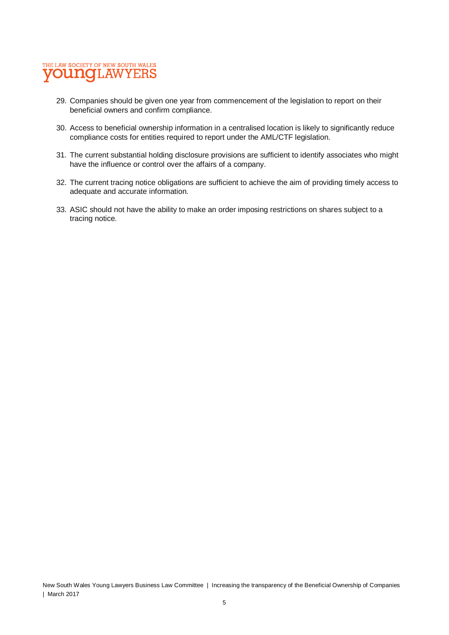- 29. Companies should be given one year from commencement of the legislation to report on their beneficial owners and confirm compliance.
- 30. Access to beneficial ownership information in a centralised location is likely to significantly reduce compliance costs for entities required to report under the AML/CTF legislation.
- 31. The current substantial holding disclosure provisions are sufficient to identify associates who might have the influence or control over the affairs of a company.
- 32. The current tracing notice obligations are sufficient to achieve the aim of providing timely access to adequate and accurate information.
- 33. ASIC should not have the ability to make an order imposing restrictions on shares subject to a tracing notice.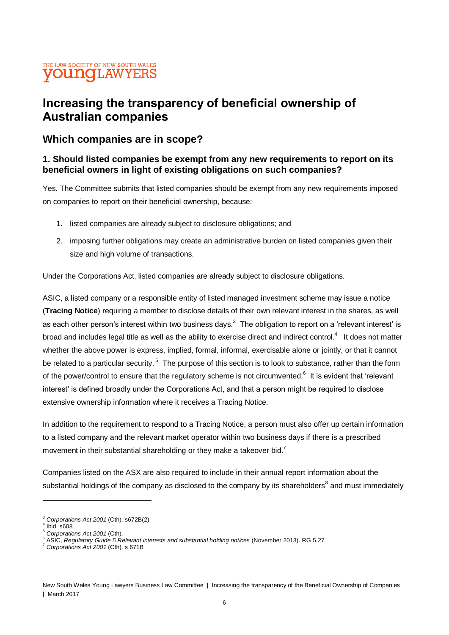# **Increasing the transparency of beneficial ownership of Australian companies**

### **Which companies are in scope?**

#### **1. Should listed companies be exempt from any new requirements to report on its beneficial owners in light of existing obligations on such companies?**

Yes. The Committee submits that listed companies should be exempt from any new requirements imposed on companies to report on their beneficial ownership, because:

- 1. listed companies are already subject to disclosure obligations; and
- 2. imposing further obligations may create an administrative burden on listed companies given their size and high volume of transactions.

Under the Corporations Act, listed companies are already subject to disclosure obligations.

ASIC, a listed company or a responsible entity of listed managed investment scheme may issue a notice (**Tracing Notice**) requiring a member to disclose details of their own relevant interest in the shares, as well as each other person's interest within two business days.<sup>3</sup> The obligation to report on a 'relevant interest' is broad and includes legal title as well as the ability to exercise direct and indirect control.<sup>4</sup> It does not matter whether the above power is express, implied, formal, informal, exercisable alone or jointly, or that it cannot be related to a particular security.<sup>5</sup> The purpose of this section is to look to substance, rather than the form of the power/control to ensure that the regulatory scheme is not circumvented.<sup>6</sup> It is evident that 'relevant interest' is defined broadly under the Corporations Act, and that a person might be required to disclose extensive ownership information where it receives a Tracing Notice.

In addition to the requirement to respond to a Tracing Notice, a person must also offer up certain information to a listed company and the relevant market operator within two business days if there is a prescribed movement in their substantial shareholding or they make a takeover bid.<sup>7</sup>

Companies listed on the ASX are also required to include in their annual report information about the substantial holdings of the company as disclosed to the company by its shareholders ${}^{8}$  and must immediately

<sup>3</sup> *Corporations Act 2001* (Cth). s672B(2)

 $4$  Ibid. s608

<sup>5</sup> *Corporations Act 2001* (Cth).

<sup>6</sup> ASIC, *Regulatory Guide 5 Relevant interests and substantial holding notices* (November 2013). RG 5.27

<sup>7</sup> *Corporations Act 2001* (Cth). s 671B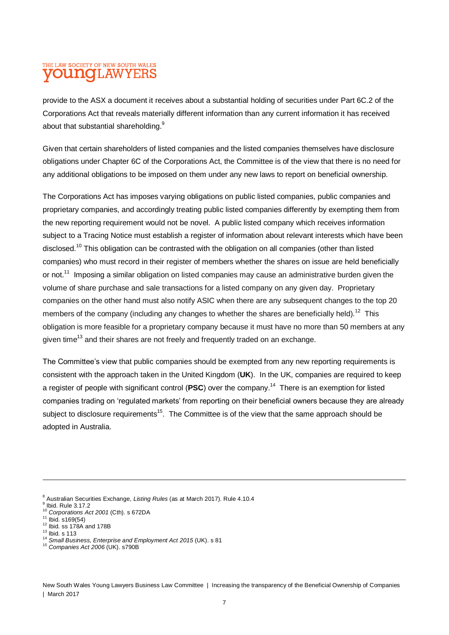provide to the ASX a document it receives about a substantial holding of securities under Part 6C.2 of the Corporations Act that reveals materially different information than any current information it has received about that substantial shareholding.<sup>9</sup>

Given that certain shareholders of listed companies and the listed companies themselves have disclosure obligations under Chapter 6C of the Corporations Act, the Committee is of the view that there is no need for any additional obligations to be imposed on them under any new laws to report on beneficial ownership.

The Corporations Act has imposes varying obligations on public listed companies, public companies and proprietary companies, and accordingly treating public listed companies differently by exempting them from the new reporting requirement would not be novel. A public listed company which receives information subject to a Tracing Notice must establish a register of information about relevant interests which have been disclosed.<sup>10</sup> This obligation can be contrasted with the obligation on all companies (other than listed companies) who must record in their register of members whether the shares on issue are held beneficially or not.<sup>11</sup> Imposing a similar obligation on listed companies may cause an administrative burden given the volume of share purchase and sale transactions for a listed company on any given day. Proprietary companies on the other hand must also notify ASIC when there are any subsequent changes to the top 20 members of the company (including any changes to whether the shares are beneficially held).<sup>12</sup> This obligation is more feasible for a proprietary company because it must have no more than 50 members at any given time<sup>13</sup> and their shares are not freely and frequently traded on an exchange.

The Committee's view that public companies should be exempted from any new reporting requirements is consistent with the approach taken in the United Kingdom (**UK**). In the UK, companies are required to keep a register of people with significant control (PSC) over the company.<sup>14</sup> There is an exemption for listed companies trading on 'regulated markets' from reporting on their beneficial owners because they are already subject to disclosure requirements<sup>15</sup>. The Committee is of the view that the same approach should be adopted in Australia.

 $12$  Ibid. ss 178A and 178B

<sup>8</sup> Australian Securities Exchange, *Listing Rules* (as at March 2017). Rule 4.10.4

<sup>9</sup> Ibid. Rule 3.17.2 <sup>10</sup> *Corporations Act 2001* (Cth). s 672DA

 $11$  Ibid. s169(54)

 $13$  Ibid. s 113

<sup>14</sup> *Small Business, Enterprise and Employment Act 2015* (UK). s 81

<sup>15</sup> *Companies Act 2006* (UK). s790B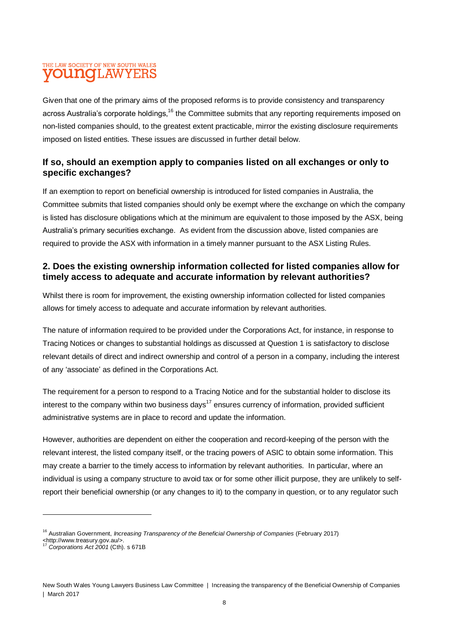Given that one of the primary aims of the proposed reforms is to provide consistency and transparency across Australia's corporate holdings,<sup>16</sup> the Committee submits that any reporting requirements imposed on non-listed companies should, to the greatest extent practicable, mirror the existing disclosure requirements imposed on listed entities. These issues are discussed in further detail below.

#### **If so, should an exemption apply to companies listed on all exchanges or only to specific exchanges?**

If an exemption to report on beneficial ownership is introduced for listed companies in Australia, the Committee submits that listed companies should only be exempt where the exchange on which the company is listed has disclosure obligations which at the minimum are equivalent to those imposed by the ASX, being Australia's primary securities exchange. As evident from the discussion above, listed companies are required to provide the ASX with information in a timely manner pursuant to the ASX Listing Rules.

#### **2. Does the existing ownership information collected for listed companies allow for timely access to adequate and accurate information by relevant authorities?**

Whilst there is room for improvement, the existing ownership information collected for listed companies allows for timely access to adequate and accurate information by relevant authorities.

The nature of information required to be provided under the Corporations Act, for instance, in response to Tracing Notices or changes to substantial holdings as discussed at Question 1 is satisfactory to disclose relevant details of direct and indirect ownership and control of a person in a company, including the interest of any 'associate' as defined in the Corporations Act.

The requirement for a person to respond to a Tracing Notice and for the substantial holder to disclose its interest to the company within two business days<sup>17</sup> ensures currency of information, provided sufficient administrative systems are in place to record and update the information.

However, authorities are dependent on either the cooperation and record-keeping of the person with the relevant interest, the listed company itself, or the tracing powers of ASIC to obtain some information. This may create a barrier to the timely access to information by relevant authorities. In particular, where an individual is using a company structure to avoid tax or for some other illicit purpose, they are unlikely to selfreport their beneficial ownership (or any changes to it) to the company in question, or to any regulator such

<sup>16</sup> Australian Government, *Increasing Transparency of the Beneficial Ownership of Companies* (February 2017)

<sup>&</sup>lt;http://www.treasury.gov.au/>.

<sup>17</sup> *Corporations Act 2001* (Cth). s 671B

New South Wales Young Lawyers Business Law Committee | Increasing the transparency of the Beneficial Ownership of Companies | March 2017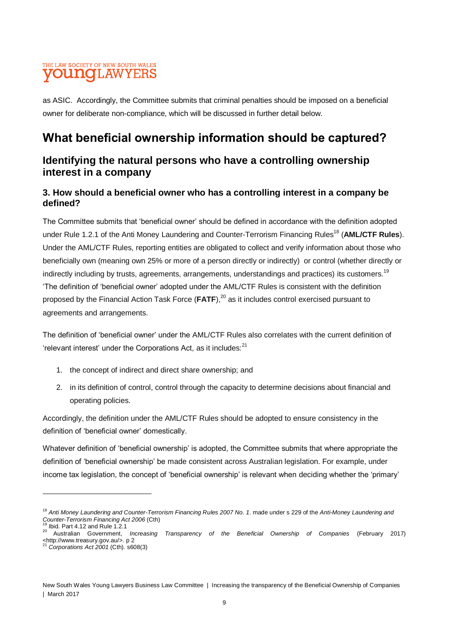as ASIC. Accordingly, the Committee submits that criminal penalties should be imposed on a beneficial owner for deliberate non-compliance, which will be discussed in further detail below.

# **What beneficial ownership information should be captured?**

### **Identifying the natural persons who have a controlling ownership interest in a company**

### **3. How should a beneficial owner who has a controlling interest in a company be defined?**

The Committee submits that 'beneficial owner' should be defined in accordance with the definition adopted under Rule 1.2.1 of the Anti Money Laundering and Counter-Terrorism Financing Rules<sup>18</sup> (AML/CTF Rules). Under the AML/CTF Rules, reporting entities are obligated to collect and verify information about those who beneficially own (meaning own 25% or more of a person directly or indirectly) or control (whether directly or indirectly including by trusts, agreements, arrangements, understandings and practices) its customers.<sup>19</sup> 'The definition of 'beneficial owner' adopted under the AML/CTF Rules is consistent with the definition proposed by the Financial Action Task Force (**FATF**), <sup>20</sup> as it includes control exercised pursuant to agreements and arrangements.

The definition of 'beneficial owner' under the AML/CTF Rules also correlates with the current definition of 'relevant interest' under the Corporations Act, as it includes:<sup>21</sup>

- 1. the concept of indirect and direct share ownership; and
- 2. in its definition of control, control through the capacity to determine decisions about financial and operating policies.

Accordingly, the definition under the AML/CTF Rules should be adopted to ensure consistency in the definition of 'beneficial owner' domestically.

Whatever definition of 'beneficial ownership' is adopted, the Committee submits that where appropriate the definition of 'beneficial ownership' be made consistent across Australian legislation. For example, under income tax legislation, the concept of 'beneficial ownership' is relevant when deciding whether the 'primary'

<sup>18</sup> *Anti Money Laundering and Counter-Terrorism Financing Rules 2007 No. 1*. made under s 229 of the *Anti-Money Laundering and Counter-Terrorism Financing Act 2006* (Cth)

 $19$  Ibid. Part 4.12 and Rule 1.2.1

<sup>20</sup> Australian Government, *Increasing Transparency of the Beneficial Ownership of Companies* (February 2017)  $\leq$ http://www.treasury.gov.au/>. p 2

<sup>21</sup> *Corporations Act 2001* (Cth). s608(3)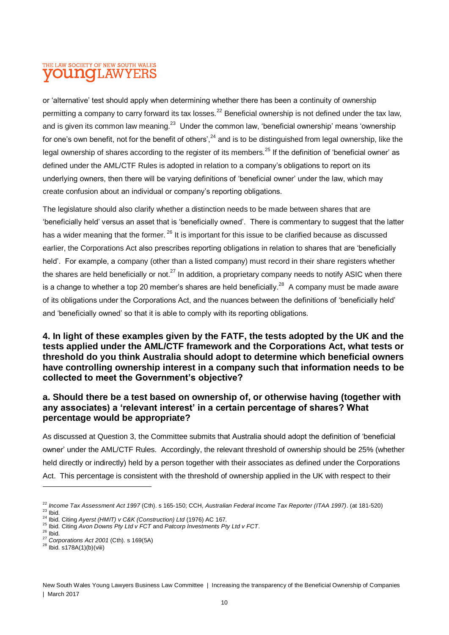or 'alternative' test should apply when determining whether there has been a continuity of ownership permitting a company to carry forward its tax losses.<sup>22</sup> Beneficial ownership is not defined under the tax law, and is given its common law meaning.<sup>23</sup> Under the common law, 'beneficial ownership' means 'ownership for one's own benefit, not for the benefit of others', <sup>24</sup> and is to be distinguished from legal ownership, like the legal ownership of shares according to the register of its members.<sup>25</sup> If the definition of 'beneficial owner' as defined under the AML/CTF Rules is adopted in relation to a company's obligations to report on its underlying owners, then there will be varying definitions of 'beneficial owner' under the law, which may create confusion about an individual or company's reporting obligations.

The legislature should also clarify whether a distinction needs to be made between shares that are 'beneficially held' versus an asset that is 'beneficially owned'. There is commentary to suggest that the latter has a wider meaning that the former. <sup>26</sup> It is important for this issue to be clarified because as discussed earlier, the Corporations Act also prescribes reporting obligations in relation to shares that are 'beneficially held'. For example, a company (other than a listed company) must record in their share registers whether the shares are held beneficially or not.<sup>27</sup> In addition, a proprietary company needs to notify ASIC when there is a change to whether a top 20 member's shares are held beneficially.<sup>28</sup> A company must be made aware of its obligations under the Corporations Act, and the nuances between the definitions of 'beneficially held' and 'beneficially owned' so that it is able to comply with its reporting obligations.

#### **4. In light of these examples given by the FATF, the tests adopted by the UK and the tests applied under the AML/CTF framework and the Corporations Act, what tests or threshold do you think Australia should adopt to determine which beneficial owners have controlling ownership interest in a company such that information needs to be collected to meet the Government's objective?**

#### **a. Should there be a test based on ownership of, or otherwise having (together with any associates) a 'relevant interest' in a certain percentage of shares? What percentage would be appropriate?**

As discussed at Question 3, the Committee submits that Australia should adopt the definition of 'beneficial owner' under the AML/CTF Rules. Accordingly, the relevant threshold of ownership should be 25% (whether held directly or indirectly) held by a person together with their associates as defined under the Corporations Act. This percentage is consistent with the threshold of ownership applied in the UK with respect to their

l

<sup>22</sup> *Income Tax Assessment Act 1997* (Cth). s 165-150; CCH, *Australian Federal Income Tax Reporter (ITAA 1997)*. (at 181-520)  $^{23}$  lbid.

<sup>24</sup> Ibid. Citing *Ayerst (HMIT) v C&K (Construction) Ltd* (1976) AC 167*.*

<sup>25</sup> Ibid. Citing *Avon Downs Pty Ltd v FCT* and *Patcorp Investments Pty Ltd v FCT*.

 $26$  Ibid.

<sup>27</sup> *Corporations Act 2001* (Cth). s 169(5A)

 $^{28}$  Ibid. s178A(1)(b)(viii)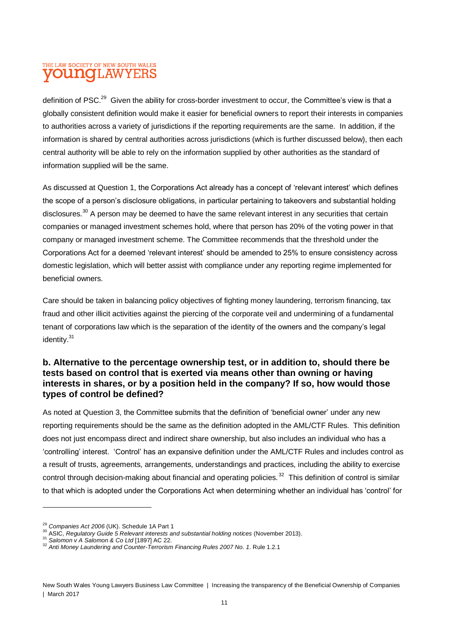definition of PSC.<sup>29</sup> Given the ability for cross-border investment to occur, the Committee's view is that a globally consistent definition would make it easier for beneficial owners to report their interests in companies to authorities across a variety of jurisdictions if the reporting requirements are the same. In addition, if the information is shared by central authorities across jurisdictions (which is further discussed below), then each central authority will be able to rely on the information supplied by other authorities as the standard of information supplied will be the same.

As discussed at Question 1, the Corporations Act already has a concept of 'relevant interest' which defines the scope of a person's disclosure obligations, in particular pertaining to takeovers and substantial holding disclosures.<sup>30</sup> A person may be deemed to have the same relevant interest in any securities that certain companies or managed investment schemes hold, where that person has 20% of the voting power in that company or managed investment scheme. The Committee recommends that the threshold under the Corporations Act for a deemed 'relevant interest' should be amended to 25% to ensure consistency across domestic legislation, which will better assist with compliance under any reporting regime implemented for beneficial owners.

Care should be taken in balancing policy objectives of fighting money laundering, terrorism financing, tax fraud and other illicit activities against the piercing of the corporate veil and undermining of a fundamental tenant of corporations law which is the separation of the identity of the owners and the company's legal identity.<sup>31</sup>

#### **b. Alternative to the percentage ownership test, or in addition to, should there be tests based on control that is exerted via means other than owning or having interests in shares, or by a position held in the company? If so, how would those types of control be defined?**

As noted at Question 3, the Committee submits that the definition of 'beneficial owner' under any new reporting requirements should be the same as the definition adopted in the AML/CTF Rules. This definition does not just encompass direct and indirect share ownership, but also includes an individual who has a 'controlling' interest. 'Control' has an expansive definition under the AML/CTF Rules and includes control as a result of trusts, agreements, arrangements, understandings and practices, including the ability to exercise control through decision-making about financial and operating policies.<sup>32</sup> This definition of control is similar to that which is adopted under the Corporations Act when determining whether an individual has 'control' for

<sup>29</sup> *Companies Act 2006* (UK). Schedule 1A Part 1

<sup>30</sup> ASIC, *Regulatory Guide 5 Relevant interests and substantial holding notices* (November 2013).

<sup>31</sup> *Salomon v A Salomon & Co Ltd* [1897] AC 22.

<sup>32</sup> *Anti Money Laundering and Counter-Terrorism Financing Rules 2007 No. 1*. Rule 1.2.1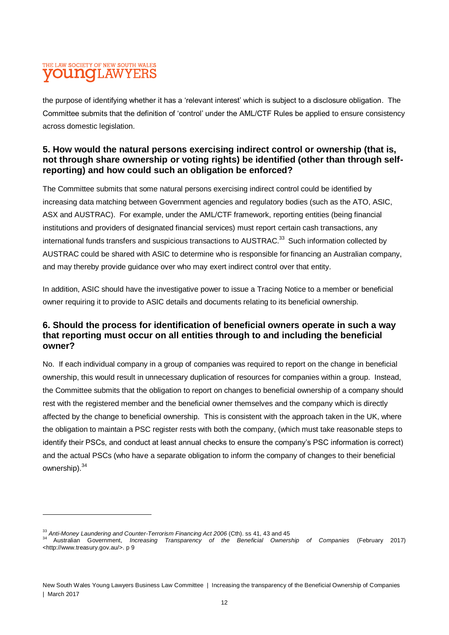the purpose of identifying whether it has a 'relevant interest' which is subject to a disclosure obligation. The Committee submits that the definition of 'control' under the AML/CTF Rules be applied to ensure consistency across domestic legislation.

#### **5. How would the natural persons exercising indirect control or ownership (that is, not through share ownership or voting rights) be identified (other than through selfreporting) and how could such an obligation be enforced?**

The Committee submits that some natural persons exercising indirect control could be identified by increasing data matching between Government agencies and regulatory bodies (such as the ATO, ASIC, ASX and AUSTRAC). For example, under the AML/CTF framework, reporting entities (being financial institutions and providers of designated financial services) must report certain cash transactions, any international funds transfers and suspicious transactions to AUSTRAC.<sup>33</sup> Such information collected by AUSTRAC could be shared with ASIC to determine who is responsible for financing an Australian company, and may thereby provide guidance over who may exert indirect control over that entity.

In addition, ASIC should have the investigative power to issue a Tracing Notice to a member or beneficial owner requiring it to provide to ASIC details and documents relating to its beneficial ownership.

#### **6. Should the process for identification of beneficial owners operate in such a way that reporting must occur on all entities through to and including the beneficial owner?**

No. If each individual company in a group of companies was required to report on the change in beneficial ownership, this would result in unnecessary duplication of resources for companies within a group. Instead, the Committee submits that the obligation to report on changes to beneficial ownership of a company should rest with the registered member and the beneficial owner themselves and the company which is directly affected by the change to beneficial ownership. This is consistent with the approach taken in the UK, where the obligation to maintain a PSC register rests with both the company, (which must take reasonable steps to identify their PSCs, and conduct at least annual checks to ensure the company's PSC information is correct) and the actual PSCs (who have a separate obligation to inform the company of changes to their beneficial ownership).<sup>34</sup>

<sup>33</sup> *Anti-Money Laundering and Counter-Terrorism Financing Act 2006* (Cth). ss 41, 43 and 45

<sup>34</sup> Australian Government, *Increasing Transparency of the Beneficial Ownership of Companies* (February 2017) <http://www.treasury.gov.au/>. p 9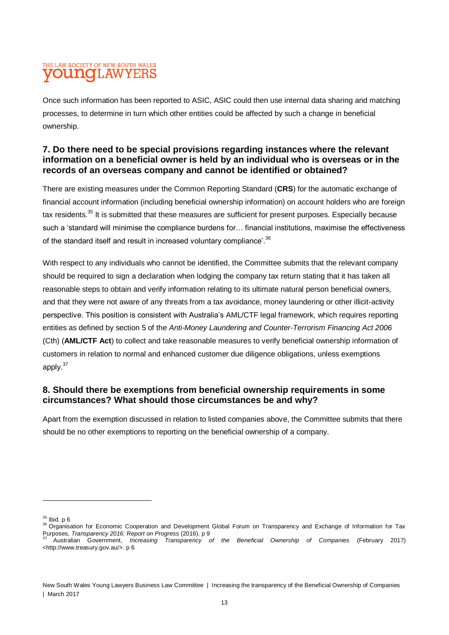Once such information has been reported to ASIC, ASIC could then use internal data sharing and matching processes, to determine in turn which other entities could be affected by such a change in beneficial ownership.

#### **7. Do there need to be special provisions regarding instances where the relevant information on a beneficial owner is held by an individual who is overseas or in the records of an overseas company and cannot be identified or obtained?**

There are existing measures under the Common Reporting Standard (**CRS**) for the automatic exchange of financial account information (including beneficial ownership information) on account holders who are foreign tax residents.<sup>35</sup> It is submitted that these measures are sufficient for present purposes. Especially because such a 'standard will minimise the compliance burdens for… financial institutions, maximise the effectiveness of the standard itself and result in increased voluntary compliance'.<sup>36</sup>

With respect to any individuals who cannot be identified, the Committee submits that the relevant company should be required to sign a declaration when lodging the company tax return stating that it has taken all reasonable steps to obtain and verify information relating to its ultimate natural person beneficial owners, and that they were not aware of any threats from a tax avoidance, money laundering or other illicit-activity perspective. This position is consistent with Australia's AML/CTF legal framework, which requires reporting entities as defined by section 5 of the *Anti-Money Laundering and Counter-Terrorism Financing Act 2006* (Cth) (**AML/CTF Act**) to collect and take reasonable measures to verify beneficial ownership information of customers in relation to normal and enhanced customer due diligence obligations, unless exemptions apply.<sup>37</sup>

#### **8. Should there be exemptions from beneficial ownership requirements in some circumstances? What should those circumstances be and why?**

Apart from the exemption discussed in relation to listed companies above, the Committee submits that there should be no other exemptions to reporting on the beneficial ownership of a company.

 $35$  Ibid. p 6

<sup>&</sup>lt;sup>36</sup> Organisation for Economic Cooperation and Development Global Forum on Transparency and Exchange of Information for Tax Purposes, *Transparency 2016: Report on Progress* (2016). p 9

<sup>37</sup> Australian Government, *Increasing Transparency of the Beneficial Ownership of Companies* (February 2017) <http://www.treasury.gov.au/>. p 6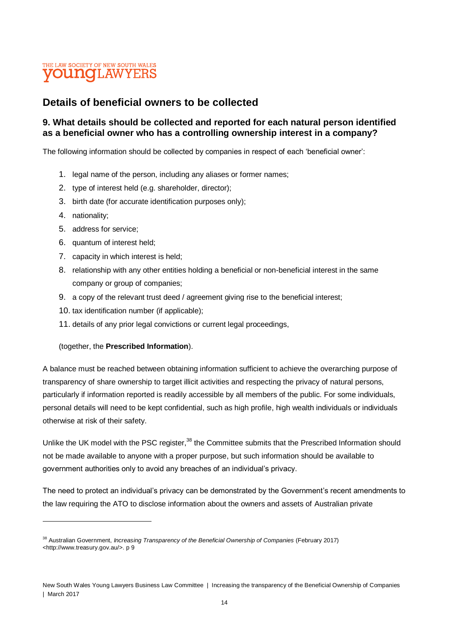### **Details of beneficial owners to be collected**

#### **9. What details should be collected and reported for each natural person identified as a beneficial owner who has a controlling ownership interest in a company?**

The following information should be collected by companies in respect of each 'beneficial owner':

- 1. legal name of the person, including any aliases or former names;
- 2. type of interest held (e.g. shareholder, director);
- 3. birth date (for accurate identification purposes only);
- 4. nationality;

 $\overline{a}$ 

- 5. address for service;
- 6. quantum of interest held;
- 7. capacity in which interest is held;
- 8. relationship with any other entities holding a beneficial or non-beneficial interest in the same company or group of companies;
- 9. a copy of the relevant trust deed / agreement giving rise to the beneficial interest;
- 10. tax identification number (if applicable);
- 11. details of any prior legal convictions or current legal proceedings,

#### (together, the **Prescribed Information**).

A balance must be reached between obtaining information sufficient to achieve the overarching purpose of transparency of share ownership to target illicit activities and respecting the privacy of natural persons, particularly if information reported is readily accessible by all members of the public. For some individuals, personal details will need to be kept confidential, such as high profile, high wealth individuals or individuals otherwise at risk of their safety.

Unlike the UK model with the PSC register,<sup>38</sup> the Committee submits that the Prescribed Information should not be made available to anyone with a proper purpose, but such information should be available to government authorities only to avoid any breaches of an individual's privacy.

The need to protect an individual's privacy can be demonstrated by the Government's recent amendments to the law requiring the ATO to disclose information about the owners and assets of Australian private

<sup>38</sup> Australian Government, *Increasing Transparency of the Beneficial Ownership of Companies* (February 2017) <http://www.treasury.gov.au/>. p 9

New South Wales Young Lawyers Business Law Committee | Increasing the transparency of the Beneficial Ownership of Companies | March 2017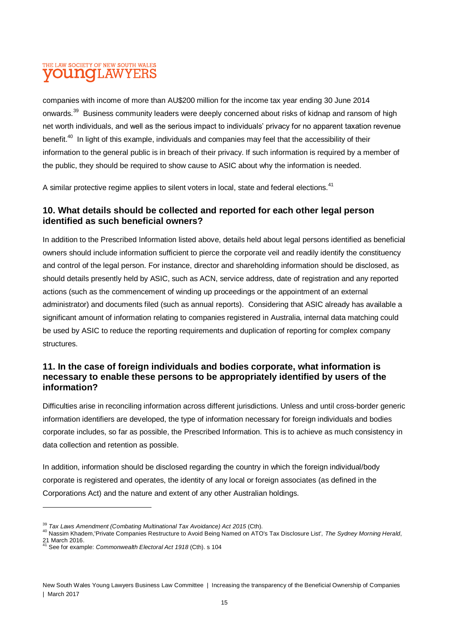companies with income of more than AU\$200 million for the income tax year ending 30 June 2014 onwards.<sup>39</sup> Business community leaders were deeply concerned about risks of kidnap and ransom of high net worth individuals, and well as the serious impact to individuals' privacy for no apparent taxation revenue benefit.<sup>40</sup> In light of this example, individuals and companies may feel that the accessibility of their information to the general public is in breach of their privacy. If such information is required by a member of the public, they should be required to show cause to ASIC about why the information is needed.

A similar protective regime applies to silent voters in local, state and federal elections.<sup>41</sup>

#### **10. What details should be collected and reported for each other legal person identified as such beneficial owners?**

In addition to the Prescribed Information listed above, details held about legal persons identified as beneficial owners should include information sufficient to pierce the corporate veil and readily identify the constituency and control of the legal person. For instance, director and shareholding information should be disclosed, as should details presently held by ASIC, such as ACN, service address, date of registration and any reported actions (such as the commencement of winding up proceedings or the appointment of an external administrator) and documents filed (such as annual reports). Considering that ASIC already has available a significant amount of information relating to companies registered in Australia, internal data matching could be used by ASIC to reduce the reporting requirements and duplication of reporting for complex company structures.

#### **11. In the case of foreign individuals and bodies corporate, what information is necessary to enable these persons to be appropriately identified by users of the information?**

Difficulties arise in reconciling information across different jurisdictions. Unless and until cross-border generic information identifiers are developed, the type of information necessary for foreign individuals and bodies corporate includes, so far as possible, the Prescribed Information. This is to achieve as much consistency in data collection and retention as possible.

In addition, information should be disclosed regarding the country in which the foreign individual/body corporate is registered and operates, the identity of any local or foreign associates (as defined in the Corporations Act) and the nature and extent of any other Australian holdings.

<sup>39</sup> *Tax Laws Amendment (Combating Multinational Tax Avoidance) Act 2015* (Cth).

<sup>40</sup> Nassim Khadem,'Private Companies Restructure to Avoid Being Named on ATO's Tax Disclosure List', *The Sydney Morning Herald*, 21 March 2016.

<sup>41</sup> See for example: *Commonwealth Electoral Act 1918* (Cth). s 104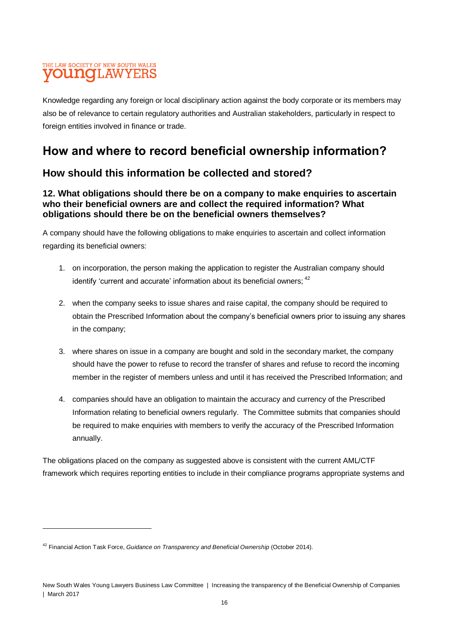Knowledge regarding any foreign or local disciplinary action against the body corporate or its members may also be of relevance to certain regulatory authorities and Australian stakeholders, particularly in respect to foreign entities involved in finance or trade.

# **How and where to record beneficial ownership information?**

### **How should this information be collected and stored?**

#### **12. What obligations should there be on a company to make enquiries to ascertain who their beneficial owners are and collect the required information? What obligations should there be on the beneficial owners themselves?**

A company should have the following obligations to make enquiries to ascertain and collect information regarding its beneficial owners:

- 1. on incorporation, the person making the application to register the Australian company should identify 'current and accurate' information about its beneficial owners; <sup>42</sup>
- 2. when the company seeks to issue shares and raise capital, the company should be required to obtain the Prescribed Information about the company's beneficial owners prior to issuing any shares in the company;
- 3. where shares on issue in a company are bought and sold in the secondary market, the company should have the power to refuse to record the transfer of shares and refuse to record the incoming member in the register of members unless and until it has received the Prescribed Information; and
- 4. companies should have an obligation to maintain the accuracy and currency of the Prescribed Information relating to beneficial owners regularly. The Committee submits that companies should be required to make enquiries with members to verify the accuracy of the Prescribed Information annually.

The obligations placed on the company as suggested above is consistent with the current AML/CTF framework which requires reporting entities to include in their compliance programs appropriate systems and

<sup>42</sup> Financial Action Task Force, *Guidance on Transparency and Beneficial Ownership* (October 2014).

New South Wales Young Lawyers Business Law Committee | Increasing the transparency of the Beneficial Ownership of Companies | March 2017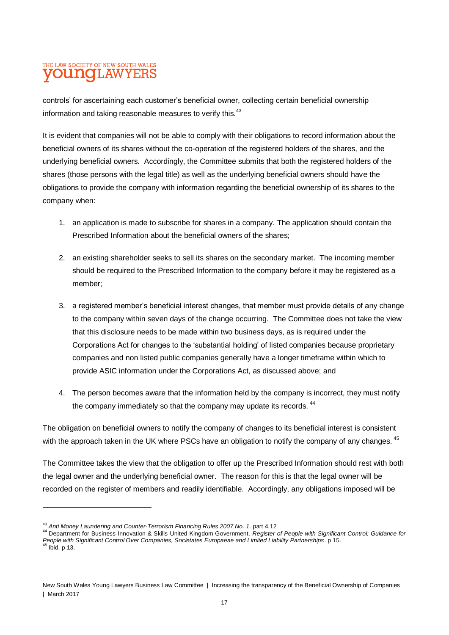controls' for ascertaining each customer's beneficial owner, collecting certain beneficial ownership information and taking reasonable measures to verify this. $43$ 

It is evident that companies will not be able to comply with their obligations to record information about the beneficial owners of its shares without the co-operation of the registered holders of the shares, and the underlying beneficial owners. Accordingly, the Committee submits that both the registered holders of the shares (those persons with the legal title) as well as the underlying beneficial owners should have the obligations to provide the company with information regarding the beneficial ownership of its shares to the company when:

- 1. an application is made to subscribe for shares in a company. The application should contain the Prescribed Information about the beneficial owners of the shares;
- 2. an existing shareholder seeks to sell its shares on the secondary market. The incoming member should be required to the Prescribed Information to the company before it may be registered as a member;
- 3. a registered member's beneficial interest changes, that member must provide details of any change to the company within seven days of the change occurring. The Committee does not take the view that this disclosure needs to be made within two business days, as is required under the Corporations Act for changes to the 'substantial holding' of listed companies because proprietary companies and non listed public companies generally have a longer timeframe within which to provide ASIC information under the Corporations Act, as discussed above; and
- 4. The person becomes aware that the information held by the company is incorrect, they must notify the company immediately so that the company may update its records. <sup>44</sup>

The obligation on beneficial owners to notify the company of changes to its beneficial interest is consistent with the approach taken in the UK where PSCs have an obligation to notify the company of any changes. <sup>45</sup>

The Committee takes the view that the obligation to offer up the Prescribed Information should rest with both the legal owner and the underlying beneficial owner. The reason for this is that the legal owner will be recorded on the register of members and readily identifiable. Accordingly, any obligations imposed will be

<sup>43</sup> *Anti Money Laundering and Counter-Terrorism Financing Rules 2007 No. 1*. part 4.12

<sup>44</sup> Department for Business Innovation & Skills United Kingdom Government, *Register of People with Significant Control: Guidance for People with Significant Control Over Companies, Societates Europaeae and Limited Liability Partnerships*. p 15. <sup>45</sup> Ibid. p 13.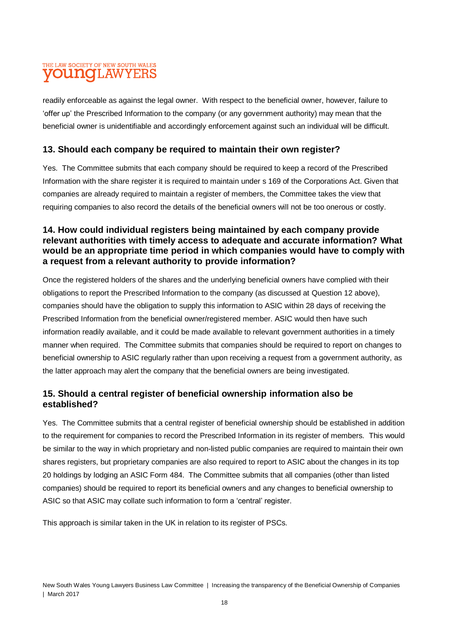readily enforceable as against the legal owner. With respect to the beneficial owner, however, failure to 'offer up' the Prescribed Information to the company (or any government authority) may mean that the beneficial owner is unidentifiable and accordingly enforcement against such an individual will be difficult.

#### **13. Should each company be required to maintain their own register?**

Yes. The Committee submits that each company should be required to keep a record of the Prescribed Information with the share register it is required to maintain under s 169 of the Corporations Act. Given that companies are already required to maintain a register of members, the Committee takes the view that requiring companies to also record the details of the beneficial owners will not be too onerous or costly.

#### **14. How could individual registers being maintained by each company provide relevant authorities with timely access to adequate and accurate information? What would be an appropriate time period in which companies would have to comply with a request from a relevant authority to provide information?**

Once the registered holders of the shares and the underlying beneficial owners have complied with their obligations to report the Prescribed Information to the company (as discussed at Question 12 above), companies should have the obligation to supply this information to ASIC within 28 days of receiving the Prescribed Information from the beneficial owner/registered member. ASIC would then have such information readily available, and it could be made available to relevant government authorities in a timely manner when required. The Committee submits that companies should be required to report on changes to beneficial ownership to ASIC regularly rather than upon receiving a request from a government authority, as the latter approach may alert the company that the beneficial owners are being investigated.

### **15. Should a central register of beneficial ownership information also be established?**

Yes. The Committee submits that a central register of beneficial ownership should be established in addition to the requirement for companies to record the Prescribed Information in its register of members. This would be similar to the way in which proprietary and non-listed public companies are required to maintain their own shares registers, but proprietary companies are also required to report to ASIC about the changes in its top 20 holdings by lodging an ASIC Form 484. The Committee submits that all companies (other than listed companies) should be required to report its beneficial owners and any changes to beneficial ownership to ASIC so that ASIC may collate such information to form a 'central' register.

This approach is similar taken in the UK in relation to its register of PSCs.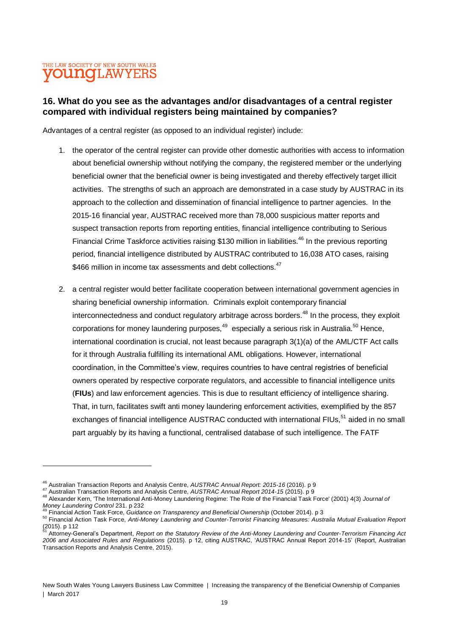$\overline{a}$ 

#### **16. What do you see as the advantages and/or disadvantages of a central register compared with individual registers being maintained by companies?**

Advantages of a central register (as opposed to an individual register) include:

- 1. the operator of the central register can provide other domestic authorities with access to information about beneficial ownership without notifying the company, the registered member or the underlying beneficial owner that the beneficial owner is being investigated and thereby effectively target illicit activities. The strengths of such an approach are demonstrated in a case study by AUSTRAC in its approach to the collection and dissemination of financial intelligence to partner agencies. In the 2015-16 financial year, AUSTRAC received more than 78,000 suspicious matter reports and suspect transaction reports from reporting entities, financial intelligence contributing to Serious Financial Crime Taskforce activities raising \$130 million in liabilities.<sup>46</sup> In the previous reporting period, financial intelligence distributed by AUSTRAC contributed to 16,038 ATO cases, raising \$466 million in income tax assessments and debt collections.<sup>47</sup>
- 2. a central register would better facilitate cooperation between international government agencies in sharing beneficial ownership information. Criminals exploit contemporary financial interconnectedness and conduct regulatory arbitrage across borders.<sup>48</sup> In the process, they exploit corporations for money laundering purposes, $^{49}$  especially a serious risk in Australia.<sup>50</sup> Hence, international coordination is crucial, not least because paragraph 3(1)(a) of the AML/CTF Act calls for it through Australia fulfilling its international AML obligations. However, international coordination, in the Committee's view, requires countries to have central registries of beneficial owners operated by respective corporate regulators, and accessible to financial intelligence units (**FIUs**) and law enforcement agencies. This is due to resultant efficiency of intelligence sharing. That, in turn, facilitates swift anti money laundering enforcement activities, exemplified by the 857 exchanges of financial intelligence AUSTRAC conducted with international FIUs,<sup>51</sup> aided in no small part arguably by its having a functional, centralised database of such intelligence. The FATF

<sup>46</sup> Australian Transaction Reports and Analysis Centre, *AUSTRAC Annual Report: 2015-16* (2016). p 9

<sup>47</sup> Australian Transaction Reports and Analysis Centre, *AUSTRAC Annual Report 2014-15* (2015). p 9

<sup>48</sup> Alexander Kern, 'The International Anti-Money Laundering Regime: The Role of the Financial Task Force' (2001) 4(3) *Journal of Money Laundering Control* 231. p 232

<sup>49</sup> Financial Action Task Force, *Guidance on Transparency and Beneficial Ownership* (October 2014). p 3

<sup>50</sup> Financial Action Task Force, *Anti-Money Laundering and Counter-Terrorist Financing Measures: Australia Mutual Evaluation Report*  $(2015)$ . p 112

<sup>51</sup> Attorney-General's Department, *Report on the Statutory Review of the Anti-Money Laundering and Counter-Terrorism Financing Act 2006 and Associated Rules and Regulations* (2015). p 12, citing AUSTRAC, 'AUSTRAC Annual Report 2014-15' (Report, Australian Transaction Reports and Analysis Centre, 2015).

New South Wales Young Lawyers Business Law Committee | Increasing the transparency of the Beneficial Ownership of Companies | March 2017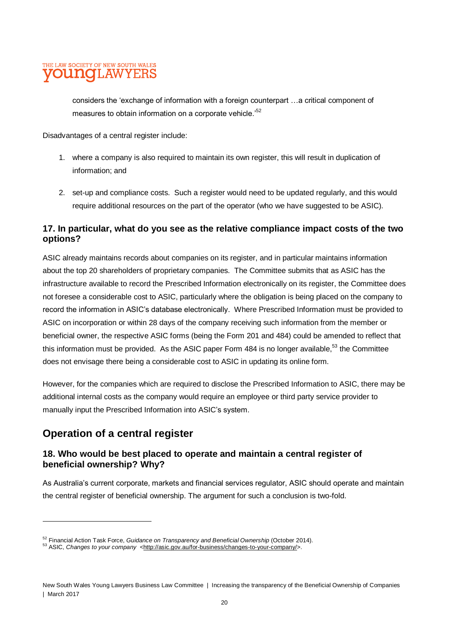considers the 'exchange of information with a foreign counterpart …a critical component of measures to obtain information on a corporate vehicle.<sup>52</sup>

Disadvantages of a central register include:

- 1. where a company is also required to maintain its own register, this will result in duplication of information; and
- 2. set-up and compliance costs. Such a register would need to be updated regularly, and this would require additional resources on the part of the operator (who we have suggested to be ASIC).

#### **17. In particular, what do you see as the relative compliance impact costs of the two options?**

ASIC already maintains records about companies on its register, and in particular maintains information about the top 20 shareholders of proprietary companies. The Committee submits that as ASIC has the infrastructure available to record the Prescribed Information electronically on its register, the Committee does not foresee a considerable cost to ASIC, particularly where the obligation is being placed on the company to record the information in ASIC's database electronically. Where Prescribed Information must be provided to ASIC on incorporation or within 28 days of the company receiving such information from the member or beneficial owner, the respective ASIC forms (being the Form 201 and 484) could be amended to reflect that this information must be provided. As the ASIC paper Form 484 is no longer available,<sup>53</sup> the Committee does not envisage there being a considerable cost to ASIC in updating its online form.

However, for the companies which are required to disclose the Prescribed Information to ASIC, there may be additional internal costs as the company would require an employee or third party service provider to manually input the Prescribed Information into ASIC's system.

### **Operation of a central register**

 $\overline{a}$ 

### **18. Who would be best placed to operate and maintain a central register of beneficial ownership? Why?**

As Australia's current corporate, markets and financial services regulator, ASIC should operate and maintain the central register of beneficial ownership. The argument for such a conclusion is two-fold.

<sup>52</sup> Financial Action Task Force, *Guidance on Transparency and Beneficial Ownership* (October 2014).

<sup>53</sup> ASIC, *Changes to your company* <http://asic.gov.au/for-business/changes-to-your-company/>.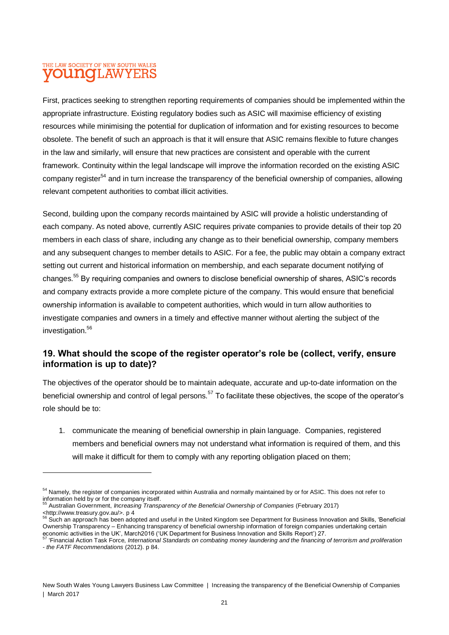First, practices seeking to strengthen reporting requirements of companies should be implemented within the appropriate infrastructure. Existing regulatory bodies such as ASIC will maximise efficiency of existing resources while minimising the potential for duplication of information and for existing resources to become obsolete. The benefit of such an approach is that it will ensure that ASIC remains flexible to future changes in the law and similarly, will ensure that new practices are consistent and operable with the current framework. Continuity within the legal landscape will improve the information recorded on the existing ASIC company register<sup>54</sup> and in turn increase the transparency of the beneficial ownership of companies, allowing relevant competent authorities to combat illicit activities.

Second, building upon the company records maintained by ASIC will provide a holistic understanding of each company. As noted above, currently ASIC requires private companies to provide details of their top 20 members in each class of share, including any change as to their beneficial ownership, company members and any subsequent changes to member details to ASIC. For a fee, the public may obtain a company extract setting out current and historical information on membership, and each separate document notifying of changes.<sup>55</sup> By requiring companies and owners to disclose beneficial ownership of shares, ASIC's records and company extracts provide a more complete picture of the company. This would ensure that beneficial ownership information is available to competent authorities, which would in turn allow authorities to investigate companies and owners in a timely and effective manner without alerting the subject of the investigation.<sup>56</sup>

#### **19. What should the scope of the register operator's role be (collect, verify, ensure information is up to date)?**

The objectives of the operator should be to maintain adequate, accurate and up-to-date information on the beneficial ownership and control of legal persons.<sup>57</sup> To facilitate these objectives, the scope of the operator's role should be to:

1. communicate the meaning of beneficial ownership in plain language. Companies, registered members and beneficial owners may not understand what information is required of them, and this will make it difficult for them to comply with any reporting obligation placed on them;

<sup>&</sup>lt;sup>54</sup> Namely, the register of companies incorporated within Australia and normally maintained by or for ASIC. This does not refer to information held by or for the company itself.

<sup>55</sup> Australian Government, *Increasing Transparency of the Beneficial Ownership of Companies* (February 2017) Example overing the *increasi*<br>
<http://www.treasury.gov.au/>.p4

Such an approach has been adopted and useful in the United Kingdom see Department for Business Innovation and Skills, 'Beneficial Ownership Transparency – Enhancing transparency of beneficial ownership information of foreign companies undertaking certain

economic activities in the UK', March2016 ('UK Department for Business Innovation and Skills Report') 27.<br><sup>57</sup> 'Financial Action Task Force, *International Standards on combating money laundering and the financing of terro - the FATF Recommendations* (2012). p 84.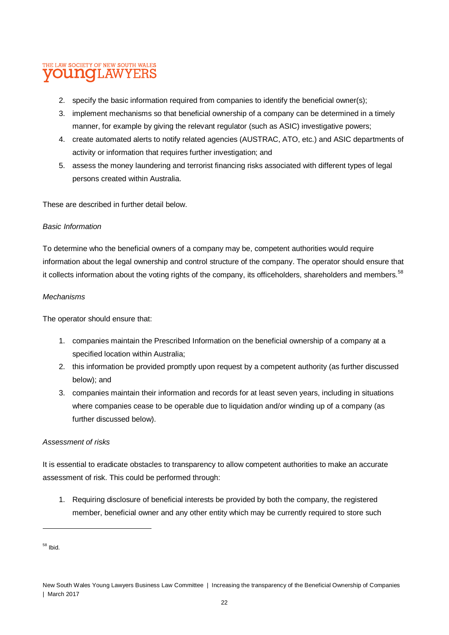- 2. specify the basic information required from companies to identify the beneficial owner(s);
- 3. implement mechanisms so that beneficial ownership of a company can be determined in a timely manner, for example by giving the relevant regulator (such as ASIC) investigative powers;
- 4. create automated alerts to notify related agencies (AUSTRAC, ATO, etc.) and ASIC departments of activity or information that requires further investigation; and
- 5. assess the money laundering and terrorist financing risks associated with different types of legal persons created within Australia.

These are described in further detail below.

#### *Basic Information*

To determine who the beneficial owners of a company may be, competent authorities would require information about the legal ownership and control structure of the company. The operator should ensure that it collects information about the voting rights of the company, its officeholders, shareholders and members.<sup>58</sup>

#### *Mechanisms*

The operator should ensure that:

- 1. companies maintain the Prescribed Information on the beneficial ownership of a company at a specified location within Australia;
- 2. this information be provided promptly upon request by a competent authority (as further discussed below); and
- 3. companies maintain their information and records for at least seven years, including in situations where companies cease to be operable due to liquidation and/or winding up of a company (as further discussed below).

#### *Assessment of risks*

It is essential to eradicate obstacles to transparency to allow competent authorities to make an accurate assessment of risk. This could be performed through:

1. Requiring disclosure of beneficial interests be provided by both the company, the registered member, beneficial owner and any other entity which may be currently required to store such

 $58$  Ibid.

New South Wales Young Lawyers Business Law Committee | Increasing the transparency of the Beneficial Ownership of Companies | March 2017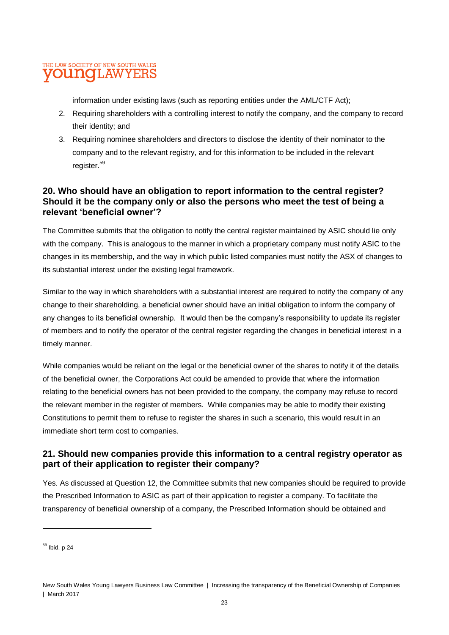information under existing laws (such as reporting entities under the AML/CTF Act);

- 2. Requiring shareholders with a controlling interest to notify the company, and the company to record their identity; and
- 3. Requiring nominee shareholders and directors to disclose the identity of their nominator to the company and to the relevant registry, and for this information to be included in the relevant register.<sup>59</sup>

#### **20. Who should have an obligation to report information to the central register? Should it be the company only or also the persons who meet the test of being a relevant 'beneficial owner'?**

The Committee submits that the obligation to notify the central register maintained by ASIC should lie only with the company. This is analogous to the manner in which a proprietary company must notify ASIC to the changes in its membership, and the way in which public listed companies must notify the ASX of changes to its substantial interest under the existing legal framework.

Similar to the way in which shareholders with a substantial interest are required to notify the company of any change to their shareholding, a beneficial owner should have an initial obligation to inform the company of any changes to its beneficial ownership. It would then be the company's responsibility to update its register of members and to notify the operator of the central register regarding the changes in beneficial interest in a timely manner.

While companies would be reliant on the legal or the beneficial owner of the shares to notify it of the details of the beneficial owner, the Corporations Act could be amended to provide that where the information relating to the beneficial owners has not been provided to the company, the company may refuse to record the relevant member in the register of members. While companies may be able to modify their existing Constitutions to permit them to refuse to register the shares in such a scenario, this would result in an immediate short term cost to companies.

#### **21. Should new companies provide this information to a central registry operator as part of their application to register their company?**

Yes. As discussed at Question 12, the Committee submits that new companies should be required to provide the Prescribed Information to ASIC as part of their application to register a company. To facilitate the transparency of beneficial ownership of a company, the Prescribed Information should be obtained and

 $59$  Ibid. p 24

New South Wales Young Lawyers Business Law Committee | Increasing the transparency of the Beneficial Ownership of Companies | March 2017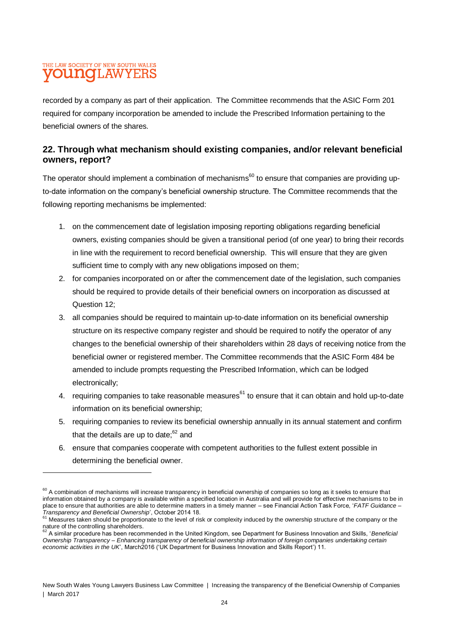recorded by a company as part of their application. The Committee recommends that the ASIC Form 201 required for company incorporation be amended to include the Prescribed Information pertaining to the beneficial owners of the shares.

#### **22. Through what mechanism should existing companies, and/or relevant beneficial owners, report?**

The operator should implement a combination of mechanisms<sup>60</sup> to ensure that companies are providing upto-date information on the company's beneficial ownership structure. The Committee recommends that the following reporting mechanisms be implemented:

- 1. on the commencement date of legislation imposing reporting obligations regarding beneficial owners, existing companies should be given a transitional period (of one year) to bring their records in line with the requirement to record beneficial ownership. This will ensure that they are given sufficient time to comply with any new obligations imposed on them;
- 2. for companies incorporated on or after the commencement date of the legislation, such companies should be required to provide details of their beneficial owners on incorporation as discussed at Question 12;
- 3. all companies should be required to maintain up-to-date information on its beneficial ownership structure on its respective company register and should be required to notify the operator of any changes to the beneficial ownership of their shareholders within 28 days of receiving notice from the beneficial owner or registered member. The Committee recommends that the ASIC Form 484 be amended to include prompts requesting the Prescribed Information, which can be lodged electronically;
- 4. requiring companies to take reasonable measures<sup>61</sup> to ensure that it can obtain and hold up-to-date information on its beneficial ownership;
- 5. requiring companies to review its beneficial ownership annually in its annual statement and confirm that the details are up to date: $62$  and
- 6. ensure that companies cooperate with competent authorities to the fullest extent possible in determining the beneficial owner.

<sup>&</sup>lt;sup>60</sup> A combination of mechanisms will increase transparency in beneficial ownership of companies so long as it seeks to ensure that information obtained by a company is available within a specified location in Australia and will provide for effective mechanisms to be in place to ensure that authorities are able to determine matters in a timely manner – see Financial Action Task Force, '*FATF Guidance –*

*Transparency and Beneficial Ownership*', October 2014 18. <sup>61</sup> Measures taken should be proportionate to the level of risk or complexity induced by the ownership structure of the company or the nature of the controlling shareholders. <sup>62</sup> A similar procedure has been recommended in the United Kingdom, see Department for Business Innovation and Skills, '*Beneficial* 

*Ownership Transparency – Enhancing transparency of beneficial ownership information of foreign companies undertaking certain economic activities in the UK*', March2016 ('UK Department for Business Innovation and Skills Report') 11.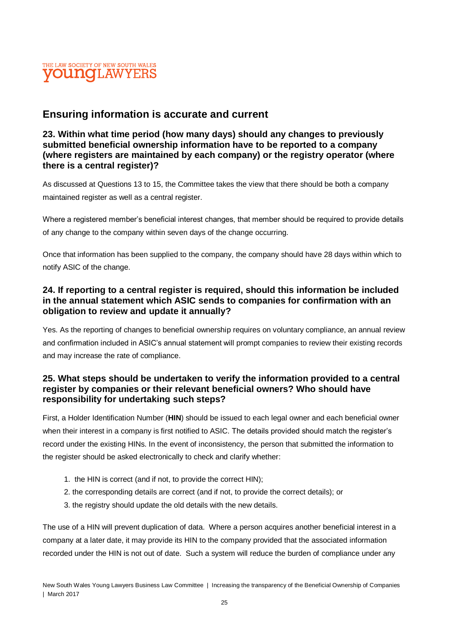### **Ensuring information is accurate and current**

#### **23. Within what time period (how many days) should any changes to previously submitted beneficial ownership information have to be reported to a company (where registers are maintained by each company) or the registry operator (where there is a central register)?**

As discussed at Questions 13 to 15, the Committee takes the view that there should be both a company maintained register as well as a central register.

Where a registered member's beneficial interest changes, that member should be required to provide details of any change to the company within seven days of the change occurring.

Once that information has been supplied to the company, the company should have 28 days within which to notify ASIC of the change.

#### **24. If reporting to a central register is required, should this information be included in the annual statement which ASIC sends to companies for confirmation with an obligation to review and update it annually?**

Yes. As the reporting of changes to beneficial ownership requires on voluntary compliance, an annual review and confirmation included in ASIC's annual statement will prompt companies to review their existing records and may increase the rate of compliance.

#### **25. What steps should be undertaken to verify the information provided to a central register by companies or their relevant beneficial owners? Who should have responsibility for undertaking such steps?**

First, a Holder Identification Number (**HIN**) should be issued to each legal owner and each beneficial owner when their interest in a company is first notified to ASIC. The details provided should match the register's record under the existing HINs. In the event of inconsistency, the person that submitted the information to the register should be asked electronically to check and clarify whether:

- 1. the HIN is correct (and if not, to provide the correct HIN);
- 2. the corresponding details are correct (and if not, to provide the correct details); or
- 3. the registry should update the old details with the new details.

The use of a HIN will prevent duplication of data. Where a person acquires another beneficial interest in a company at a later date, it may provide its HIN to the company provided that the associated information recorded under the HIN is not out of date. Such a system will reduce the burden of compliance under any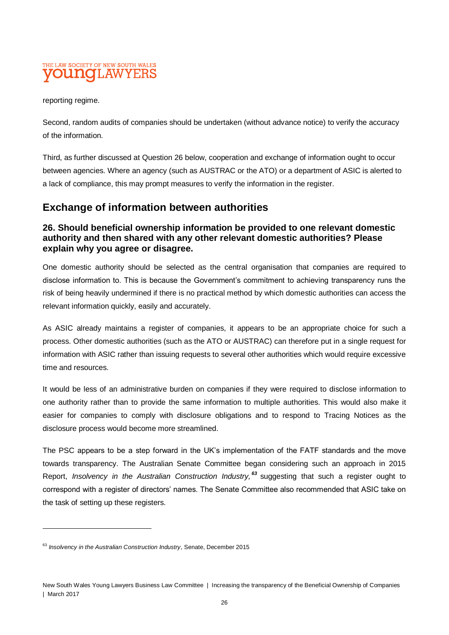reporting regime.

Second, random audits of companies should be undertaken (without advance notice) to verify the accuracy of the information.

Third, as further discussed at Question 26 below, cooperation and exchange of information ought to occur between agencies. Where an agency (such as AUSTRAC or the ATO) or a department of ASIC is alerted to a lack of compliance, this may prompt measures to verify the information in the register.

### **Exchange of information between authorities**

#### **26. Should beneficial ownership information be provided to one relevant domestic authority and then shared with any other relevant domestic authorities? Please explain why you agree or disagree.**

One domestic authority should be selected as the central organisation that companies are required to disclose information to. This is because the Government's commitment to achieving transparency runs the risk of being heavily undermined if there is no practical method by which domestic authorities can access the relevant information quickly, easily and accurately.

As ASIC already maintains a register of companies, it appears to be an appropriate choice for such a process. Other domestic authorities (such as the ATO or AUSTRAC) can therefore put in a single request for information with ASIC rather than issuing requests to several other authorities which would require excessive time and resources.

It would be less of an administrative burden on companies if they were required to disclose information to one authority rather than to provide the same information to multiple authorities. This would also make it easier for companies to comply with disclosure obligations and to respond to Tracing Notices as the disclosure process would become more streamlined.

The PSC appears to be a step forward in the UK's implementation of the FATF standards and the move towards transparency. The Australian Senate Committee began considering such an approach in 2015 Report, *Insolvency in the Australian Construction Industry, <sup>63</sup>* suggesting that such a register ought to correspond with a register of directors' names. The Senate Committee also recommended that ASIC take on the task of setting up these registers.

<sup>63</sup> *Insolvency in the Australian Construction Industry*, Senate, December 2015

New South Wales Young Lawyers Business Law Committee | Increasing the transparency of the Beneficial Ownership of Companies | March 2017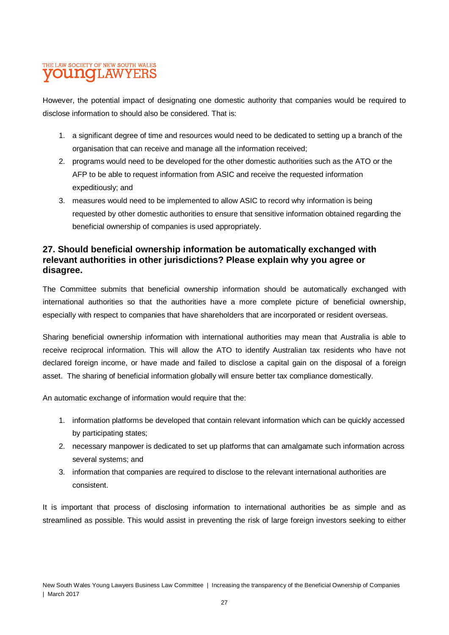However, the potential impact of designating one domestic authority that companies would be required to disclose information to should also be considered. That is:

- 1. a significant degree of time and resources would need to be dedicated to setting up a branch of the organisation that can receive and manage all the information received;
- 2. programs would need to be developed for the other domestic authorities such as the ATO or the AFP to be able to request information from ASIC and receive the requested information expeditiously; and
- 3. measures would need to be implemented to allow ASIC to record why information is being requested by other domestic authorities to ensure that sensitive information obtained regarding the beneficial ownership of companies is used appropriately.

#### **27. Should beneficial ownership information be automatically exchanged with relevant authorities in other jurisdictions? Please explain why you agree or disagree.**

The Committee submits that beneficial ownership information should be automatically exchanged with international authorities so that the authorities have a more complete picture of beneficial ownership, especially with respect to companies that have shareholders that are incorporated or resident overseas.

Sharing beneficial ownership information with international authorities may mean that Australia is able to receive reciprocal information. This will allow the ATO to identify Australian tax residents who have not declared foreign income, or have made and failed to disclose a capital gain on the disposal of a foreign asset. The sharing of beneficial information globally will ensure better tax compliance domestically.

An automatic exchange of information would require that the:

- 1. information platforms be developed that contain relevant information which can be quickly accessed by participating states;
- 2. necessary manpower is dedicated to set up platforms that can amalgamate such information across several systems; and
- 3. information that companies are required to disclose to the relevant international authorities are consistent.

It is important that process of disclosing information to international authorities be as simple and as streamlined as possible. This would assist in preventing the risk of large foreign investors seeking to either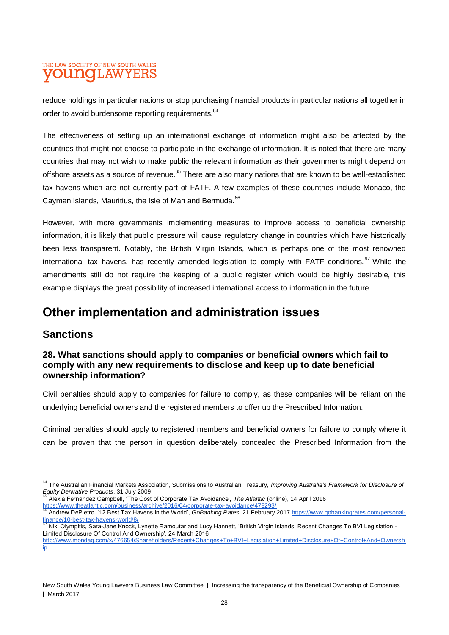reduce holdings in particular nations or stop purchasing financial products in particular nations all together in order to avoid burdensome reporting requirements.<sup>64</sup>

The effectiveness of setting up an international exchange of information might also be affected by the countries that might not choose to participate in the exchange of information. It is noted that there are many countries that may not wish to make public the relevant information as their governments might depend on offshore assets as a source of revenue.<sup>65</sup> There are also many nations that are known to be well-established tax havens which are not currently part of FATF. A few examples of these countries include Monaco, the Cayman Islands, Mauritius, the Isle of Man and Bermuda.<sup>66</sup>

However, with more governments implementing measures to improve access to beneficial ownership information, it is likely that public pressure will cause regulatory change in countries which have historically been less transparent. Notably, the British Virgin Islands, which is perhaps one of the most renowned international tax havens, has recently amended legislation to comply with FATF conditions.<sup>67</sup> While the amendments still do not require the keeping of a public register which would be highly desirable, this example displays the great possibility of increased international access to information in the future.

## **Other implementation and administration issues**

### **Sanctions**

 $\overline{a}$ 

#### **28. What sanctions should apply to companies or beneficial owners which fail to comply with any new requirements to disclose and keep up to date beneficial ownership information?**

Civil penalties should apply to companies for failure to comply, as these companies will be reliant on the underlying beneficial owners and the registered members to offer up the Prescribed Information.

Criminal penalties should apply to registered members and beneficial owners for failure to comply where it can be proven that the person in question deliberately concealed the Prescribed Information from the

<sup>64</sup> The Australian Financial Markets Association, Submissions to Australian Treasury, *Improving Australia's Framework for Disclosure of Equity Derivative Products*, 31 July 2009

<sup>65</sup> Alexia Fernandez Campbell, 'The Cost of Corporate Tax Avoidance', *The Atlantic* (online), 14 April 201[6](https://www.theatlantic.com/business/archive/2016/04/corporate-tax-avoidance/478293/)

<https://www.theatlantic.com/business/archive/2016/04/corporate-tax-avoidance/478293/> <sup>66</sup> Andrew DePietro, '12 Best Tax Havens in the World', *GoBanking Rates*, 21 February 201[7](https://www.gobankingrates.com/personal-finance/10-best-tax-havens-world/8/) [https://www.gobankingrates.com/personal](https://www.gobankingrates.com/personal-finance/10-best-tax-havens-world/8/)[finance/10-best-tax-havens-world/8/](https://www.gobankingrates.com/personal-finance/10-best-tax-havens-world/8/)

<sup>11</sup> March 19 Beet tak have be terming.<br><sup>67</sup> Niki Olympitis, Sara-Jane Knock, Lynette Ramoutar and Lucy Hannett, 'British Virgin Islands: Recent Changes To BVI Legislation -Limited Disclosure Of Control And Ownership', 24 March 2016

[http://www.mondaq.com/x/476654/Shareholders/Recent+Changes+To+BVI+Legislation+Limited+Disclosure+Of+Control+And+Ownersh](http://www.mondaq.com/x/476654/Shareholders/Recent+Changes+To+BVI+Legislation+Limited+Disclosure+Of+Control+And+Ownership) [ip](http://www.mondaq.com/x/476654/Shareholders/Recent+Changes+To+BVI+Legislation+Limited+Disclosure+Of+Control+And+Ownership)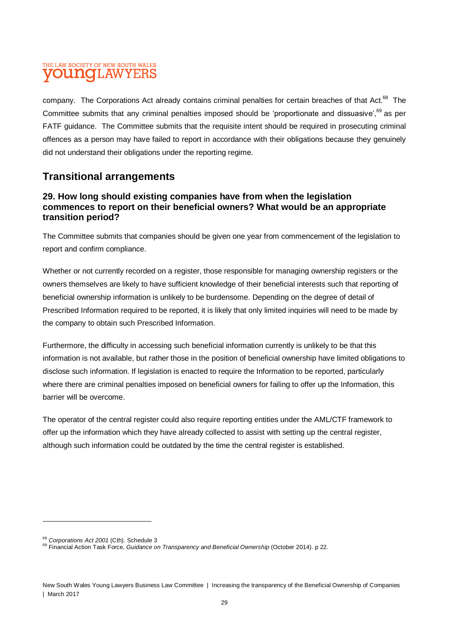company. The Corporations Act already contains criminal penalties for certain breaches of that Act.<sup>68</sup> The Committee submits that any criminal penalties imposed should be 'proportionate and dissuasive',<sup>69</sup> as per FATF guidance. The Committee submits that the requisite intent should be required in prosecuting criminal offences as a person may have failed to report in accordance with their obligations because they genuinely did not understand their obligations under the reporting regime.

### **Transitional arrangements**

#### **29. How long should existing companies have from when the legislation commences to report on their beneficial owners? What would be an appropriate transition period?**

The Committee submits that companies should be given one year from commencement of the legislation to report and confirm compliance.

Whether or not currently recorded on a register, those responsible for managing ownership registers or the owners themselves are likely to have sufficient knowledge of their beneficial interests such that reporting of beneficial ownership information is unlikely to be burdensome. Depending on the degree of detail of Prescribed Information required to be reported, it is likely that only limited inquiries will need to be made by the company to obtain such Prescribed Information.

Furthermore, the difficulty in accessing such beneficial information currently is unlikely to be that this information is not available, but rather those in the position of beneficial ownership have limited obligations to disclose such information. If legislation is enacted to require the Information to be reported, particularly where there are criminal penalties imposed on beneficial owners for failing to offer up the Information, this barrier will be overcome.

The operator of the central register could also require reporting entities under the AML/CTF framework to offer up the information which they have already collected to assist with setting up the central register, although such information could be outdated by the time the central register is established.

<sup>68</sup> *Corporations Act 2001* (Cth). Schedule 3

<sup>69</sup> Financial Action Task Force, *Guidance on Transparency and Beneficial Ownership* (October 2014). p 22.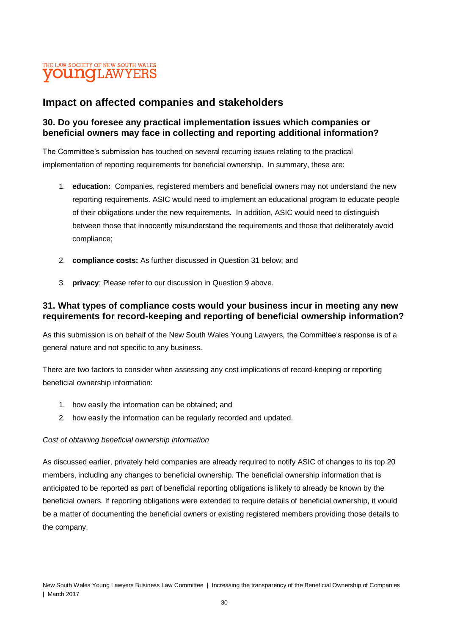### **Impact on affected companies and stakeholders**

#### **30. Do you foresee any practical implementation issues which companies or beneficial owners may face in collecting and reporting additional information?**

The Committee's submission has touched on several recurring issues relating to the practical implementation of reporting requirements for beneficial ownership. In summary, these are:

- 1. **education:** Companies, registered members and beneficial owners may not understand the new reporting requirements. ASIC would need to implement an educational program to educate people of their obligations under the new requirements. In addition, ASIC would need to distinguish between those that innocently misunderstand the requirements and those that deliberately avoid compliance;
- 2. **compliance costs:** As further discussed in Question 31 below; and
- 3. **privacy**: Please refer to our discussion in Question 9 above.

#### **31. What types of compliance costs would your business incur in meeting any new requirements for record-keeping and reporting of beneficial ownership information?**

As this submission is on behalf of the New South Wales Young Lawyers, the Committee's response is of a general nature and not specific to any business.

There are two factors to consider when assessing any cost implications of record-keeping or reporting beneficial ownership information:

- 1. how easily the information can be obtained; and
- 2. how easily the information can be regularly recorded and updated.

#### *Cost of obtaining beneficial ownership information*

As discussed earlier, privately held companies are already required to notify ASIC of changes to its top 20 members, including any changes to beneficial ownership. The beneficial ownership information that is anticipated to be reported as part of beneficial reporting obligations is likely to already be known by the beneficial owners. If reporting obligations were extended to require details of beneficial ownership, it would be a matter of documenting the beneficial owners or existing registered members providing those details to the company.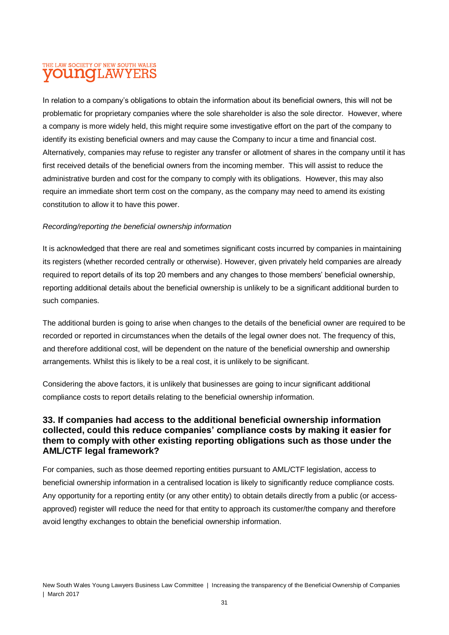In relation to a company's obligations to obtain the information about its beneficial owners, this will not be problematic for proprietary companies where the sole shareholder is also the sole director. However, where a company is more widely held, this might require some investigative effort on the part of the company to identify its existing beneficial owners and may cause the Company to incur a time and financial cost. Alternatively, companies may refuse to register any transfer or allotment of shares in the company until it has first received details of the beneficial owners from the incoming member. This will assist to reduce the administrative burden and cost for the company to comply with its obligations. However, this may also require an immediate short term cost on the company, as the company may need to amend its existing constitution to allow it to have this power.

#### *Recording/reporting the beneficial ownership information*

It is acknowledged that there are real and sometimes significant costs incurred by companies in maintaining its registers (whether recorded centrally or otherwise). However, given privately held companies are already required to report details of its top 20 members and any changes to those members' beneficial ownership, reporting additional details about the beneficial ownership is unlikely to be a significant additional burden to such companies.

The additional burden is going to arise when changes to the details of the beneficial owner are required to be recorded or reported in circumstances when the details of the legal owner does not. The frequency of this, and therefore additional cost, will be dependent on the nature of the beneficial ownership and ownership arrangements. Whilst this is likely to be a real cost, it is unlikely to be significant.

Considering the above factors, it is unlikely that businesses are going to incur significant additional compliance costs to report details relating to the beneficial ownership information.

#### **33. If companies had access to the additional beneficial ownership information collected, could this reduce companies' compliance costs by making it easier for them to comply with other existing reporting obligations such as those under the AML/CTF legal framework?**

For companies, such as those deemed reporting entities pursuant to AML/CTF legislation, access to beneficial ownership information in a centralised location is likely to significantly reduce compliance costs. Any opportunity for a reporting entity (or any other entity) to obtain details directly from a public (or accessapproved) register will reduce the need for that entity to approach its customer/the company and therefore avoid lengthy exchanges to obtain the beneficial ownership information.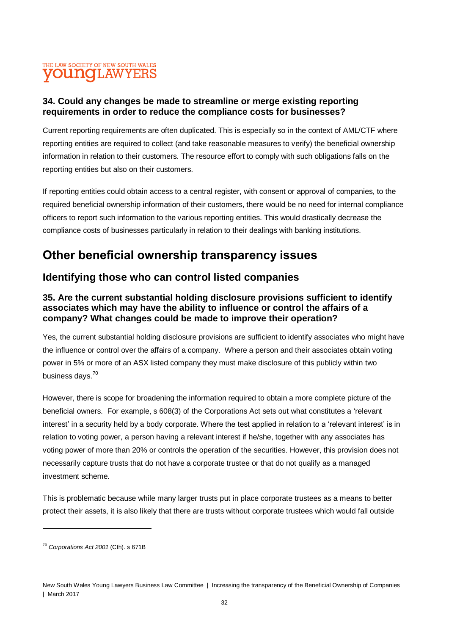#### **34. Could any changes be made to streamline or merge existing reporting requirements in order to reduce the compliance costs for businesses?**

Current reporting requirements are often duplicated. This is especially so in the context of AML/CTF where reporting entities are required to collect (and take reasonable measures to verify) the beneficial ownership information in relation to their customers. The resource effort to comply with such obligations falls on the reporting entities but also on their customers.

If reporting entities could obtain access to a central register, with consent or approval of companies, to the required beneficial ownership information of their customers, there would be no need for internal compliance officers to report such information to the various reporting entities. This would drastically decrease the compliance costs of businesses particularly in relation to their dealings with banking institutions.

# **Other beneficial ownership transparency issues**

### **Identifying those who can control listed companies**

#### **35. Are the current substantial holding disclosure provisions sufficient to identify associates which may have the ability to influence or control the affairs of a company? What changes could be made to improve their operation?**

Yes, the current substantial holding disclosure provisions are sufficient to identify associates who might have the influence or control over the affairs of a company. Where a person and their associates obtain voting power in 5% or more of an ASX listed company they must make disclosure of this publicly within two business days.<sup>70</sup>

However, there is scope for broadening the information required to obtain a more complete picture of the beneficial owners. For example, s 608(3) of the Corporations Act sets out what constitutes a 'relevant interest' in a security held by a body corporate. Where the test applied in relation to a 'relevant interest' is in relation to voting power, a person having a relevant interest if he/she, together with any associates has voting power of more than 20% or controls the operation of the securities. However, this provision does not necessarily capture trusts that do not have a corporate trustee or that do not qualify as a managed investment scheme.

This is problematic because while many larger trusts put in place corporate trustees as a means to better protect their assets, it is also likely that there are trusts without corporate trustees which would fall outside

<sup>70</sup> *Corporations Act 2001* (Cth). s 671B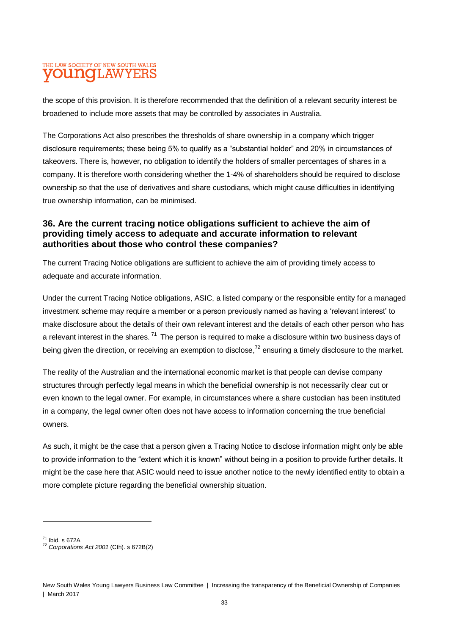the scope of this provision. It is therefore recommended that the definition of a relevant security interest be broadened to include more assets that may be controlled by associates in Australia.

The Corporations Act also prescribes the thresholds of share ownership in a company which trigger disclosure requirements; these being 5% to qualify as a "substantial holder" and 20% in circumstances of takeovers. There is, however, no obligation to identify the holders of smaller percentages of shares in a company. It is therefore worth considering whether the 1-4% of shareholders should be required to disclose ownership so that the use of derivatives and share custodians, which might cause difficulties in identifying true ownership information, can be minimised.

#### **36. Are the current tracing notice obligations sufficient to achieve the aim of providing timely access to adequate and accurate information to relevant authorities about those who control these companies?**

The current Tracing Notice obligations are sufficient to achieve the aim of providing timely access to adequate and accurate information.

Under the current Tracing Notice obligations, ASIC, a listed company or the responsible entity for a managed investment scheme may require a member or a person previously named as having a 'relevant interest' to make disclosure about the details of their own relevant interest and the details of each other person who has a relevant interest in the shares. <sup>71</sup> The person is required to make a disclosure within two business days of being given the direction, or receiving an exemption to disclose,<sup>72</sup> ensuring a timely disclosure to the market.

The reality of the Australian and the international economic market is that people can devise company structures through perfectly legal means in which the beneficial ownership is not necessarily clear cut or even known to the legal owner. For example, in circumstances where a share custodian has been instituted in a company, the legal owner often does not have access to information concerning the true beneficial owners.

As such, it might be the case that a person given a Tracing Notice to disclose information might only be able to provide information to the "extent which it is known" without being in a position to provide further details. It might be the case here that ASIC would need to issue another notice to the newly identified entity to obtain a more complete picture regarding the beneficial ownership situation.

 $^{71}$  Ibid. s 672A

<sup>72</sup> *Corporations Act 2001* (Cth). s 672B(2)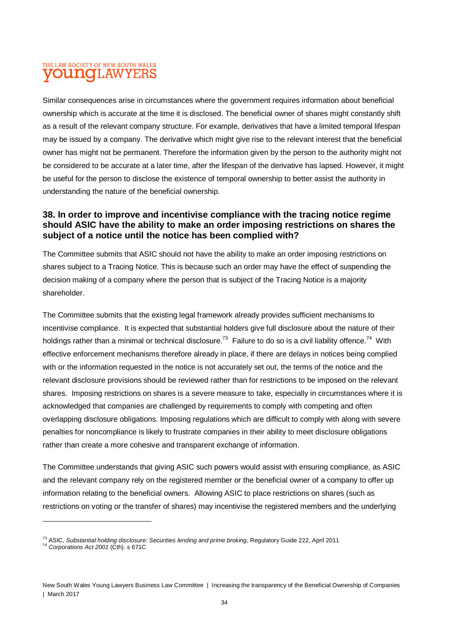Similar consequences arise in circumstances where the government requires information about beneficial ownership which is accurate at the time it is disclosed. The beneficial owner of shares might constantly shift as a result of the relevant company structure. For example, derivatives that have a limited temporal lifespan may be issued by a company. The derivative which might give rise to the relevant interest that the beneficial owner has might not be permanent. Therefore the information given by the person to the authority might not be considered to be accurate at a later time, after the lifespan of the derivative has lapsed. However, it might be useful for the person to disclose the existence of temporal ownership to better assist the authority in understanding the nature of the beneficial ownership.

#### **38. In order to improve and incentivise compliance with the tracing notice regime should ASIC have the ability to make an order imposing restrictions on shares the subject of a notice until the notice has been complied with?**

The Committee submits that ASIC should not have the ability to make an order imposing restrictions on shares subject to a Tracing Notice. This is because such an order may have the effect of suspending the decision making of a company where the person that is subject of the Tracing Notice is a majority shareholder.

The Committee submits that the existing legal framework already provides sufficient mechanisms to incentivise compliance. It is expected that substantial holders give full disclosure about the nature of their holdings rather than a minimal or technical disclosure.<sup>73</sup> Failure to do so is a civil liability offence.<sup>74</sup> With effective enforcement mechanisms therefore already in place, if there are delays in notices being complied with or the information requested in the notice is not accurately set out, the terms of the notice and the relevant disclosure provisions should be reviewed rather than for restrictions to be imposed on the relevant shares. Imposing restrictions on shares is a severe measure to take, especially in circumstances where it is acknowledged that companies are challenged by requirements to comply with competing and often overlapping disclosure obligations. Imposing regulations which are difficult to comply with along with severe penalties for noncompliance is likely to frustrate companies in their ability to meet disclosure obligations rather than create a more cohesive and transparent exchange of information.

The Committee understands that giving ASIC such powers would assist with ensuring compliance, as ASIC and the relevant company rely on the registered member or the beneficial owner of a company to offer up information relating to the beneficial owners. Allowing ASIC to place restrictions on shares (such as restrictions on voting or the transfer of shares) may incentivise the registered members and the underlying

<sup>73</sup> ASIC, *Substantial holding disclosure: Securities lending and prime broking*, Regulatory Guide 222, April 2011

<sup>74</sup> *Corporations Act 2001* (Cth). s 671C

New South Wales Young Lawyers Business Law Committee | Increasing the transparency of the Beneficial Ownership of Companies | March 2017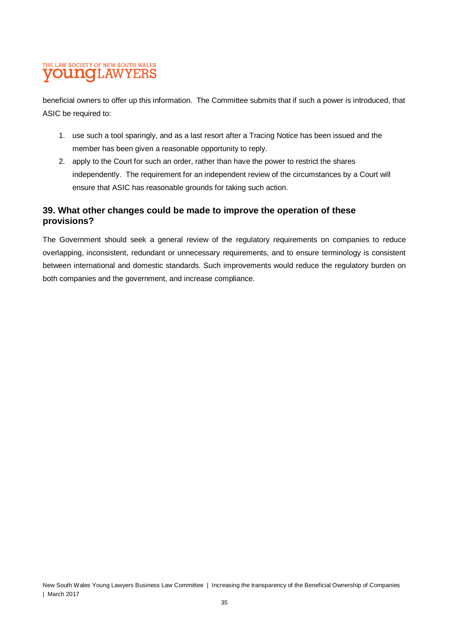beneficial owners to offer up this information. The Committee submits that if such a power is introduced, that ASIC be required to:

- 1. use such a tool sparingly, and as a last resort after a Tracing Notice has been issued and the member has been given a reasonable opportunity to reply.
- 2. apply to the Court for such an order, rather than have the power to restrict the shares independently. The requirement for an independent review of the circumstances by a Court will ensure that ASIC has reasonable grounds for taking such action.

#### **39. What other changes could be made to improve the operation of these provisions?**

The Government should seek a general review of the regulatory requirements on companies to reduce overlapping, inconsistent, redundant or unnecessary requirements, and to ensure terminology is consistent between international and domestic standards. Such improvements would reduce the regulatory burden on both companies and the government, and increase compliance.